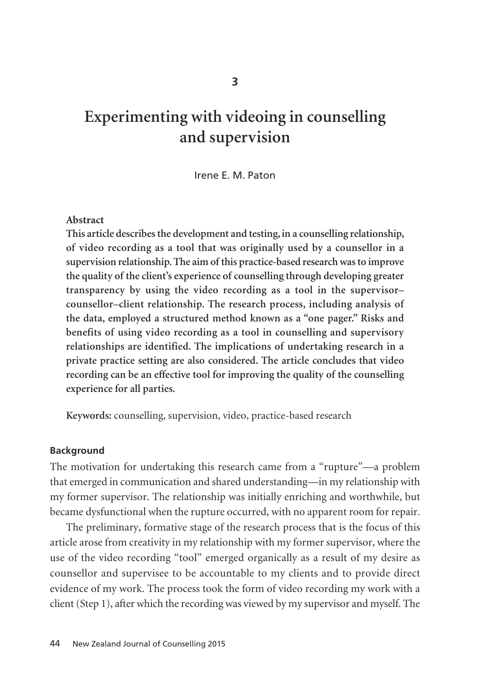# **Experimenting with videoing in counselling and supervision**

Irene E. M. Paton

#### **Abstract**

**This article describes the development and testing, in a counselling relationship, of video recording as a tool that was originally used by a counsellor in a supervision relationship. The aim of this practice-based research was to improve the quality of the client's experience of counselling through developing greater transparency by using the video recording as a tool in the supervisor– counsellor–client relationship. The research process, including analysis of the data, employed a structured method known as a "one pager." Risks and benefits of using video recording as a tool in counselling and supervisory relationships are identified. The implications of undertaking research in a private practice setting are also considered. The article concludes that video recording can be an effective tool for improving the quality of the counselling experience for all parties.**

**Keywords:** counselling, supervision, video, practice-based research

#### **Background**

The motivation for undertaking this research came from a "rupture"—a problem that emerged in communication and shared understanding—in my relationship with my former supervisor. The relationship was initially enriching and worthwhile, but became dysfunctional when the rupture occurred, with no apparent room for repair.

The preliminary, formative stage of the research process that is the focus of this article arose from creativity in my relationship with my former supervisor, where the use of the video recording "tool" emerged organically as a result of my desire as counsellor and supervisee to be accountable to my clients and to provide direct evidence of my work. The process took the form of video recording my work with a client (Step 1), after which the recording was viewed by my supervisor and myself. The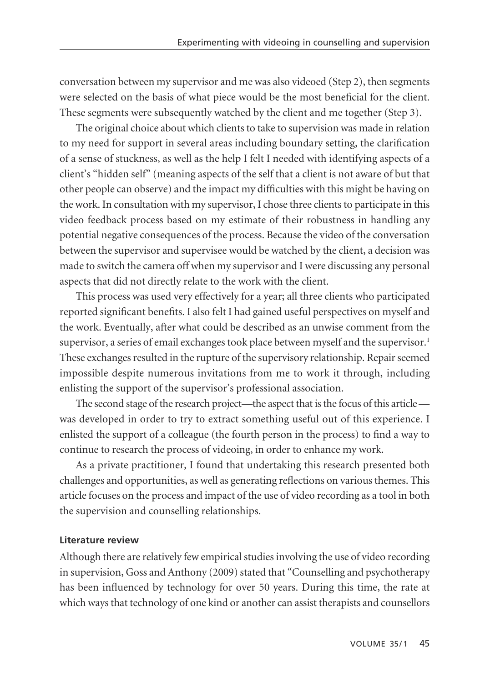conversation between my supervisor and me was also videoed (Step 2), then segments were selected on the basis of what piece would be the most beneficial for the client. These segments were subsequently watched by the client and me together (Step 3).

The original choice about which clients to take to supervision was made in relation to my need for support in several areas including boundary setting, the clarification of a sense of stuckness, as well as the help I felt I needed with identifying aspects of a client's "hidden self" (meaning aspects of the self that a client is not aware of but that other people can observe) and the impact my difficulties with this might be having on the work. In consultation with my supervisor, I chose three clients to participate in this video feedback process based on my estimate of their robustness in handling any potential negative consequences of the process. Because the video of the conversation between the supervisor and supervisee would be watched by the client, a decision was made to switch the camera off when my supervisor and I were discussing any personal aspects that did not directly relate to the work with the client.

This process was used very effectively for a year; all three clients who participated reported significant benefits. I also felt I had gained useful perspectives on myself and the work. Eventually, after what could be described as an unwise comment from the supervisor, a series of email exchanges took place between myself and the supervisor.<sup>1</sup> These exchanges resulted in the rupture of the supervisory relationship. Repair seemed impossible despite numerous invitations from me to work it through, including enlisting the support of the supervisor's professional association.

The second stage of the research project—the aspect that is the focus of this article was developed in order to try to extract something useful out of this experience. I enlisted the support of a colleague (the fourth person in the process) to find a way to continue to research the process of videoing, in order to enhance my work.

As a private practitioner, I found that undertaking this research presented both challenges and opportunities, as well as generating reflections on various themes. This article focuses on the process and impact of the use of video recording as a tool in both the supervision and counselling relationships.

## **Literature review**

Although there are relatively few empirical studies involving the use of video recording in supervision, Goss and Anthony (2009) stated that "Counselling and psychotherapy has been influenced by technology for over 50 years. During this time, the rate at which ways that technology of one kind or another can assist therapists and counsellors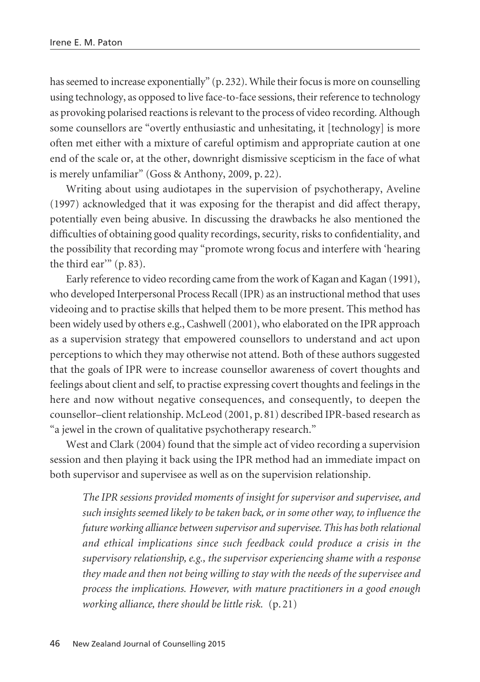has seemed to increase exponentially" (p.232). While their focus is more on counselling using technology, as opposed to live face-to-face sessions, their reference to technology as provoking polarised reactions is relevant to the process of video recording. Although some counsellors are "overtly enthusiastic and unhesitating, it [technology] is more often met either with a mixture of careful optimism and appropriate caution at one end of the scale or, at the other, downright dismissive scepticism in the face of what is merely unfamiliar" (Goss & Anthony, 2009, p. 22).

Writing about using audiotapes in the supervision of psychotherapy, Aveline (1997) acknowledged that it was exposing for the therapist and did affect therapy, potentially even being abusive. In discussing the drawbacks he also mentioned the difficulties of obtaining good quality recordings, security, risks to confidentiality, and the possibility that recording may "promote wrong focus and interfere with 'hearing the third ear'" (p. 83).

Early reference to video recording came from the work of Kagan and Kagan (1991), who developed Interpersonal Process Recall (IPR) as an instructional method that uses videoing and to practise skills that helped them to be more present. This method has been widely used by others e.g., Cashwell (2001), who elaborated on the IPR approach as a supervision strategy that empowered counsellors to understand and act upon perceptions to which they may otherwise not attend. Both of these authors suggested that the goals of IPR were to increase counsellor awareness of covert thoughts and feelings about client and self, to practise expressing covert thoughts and feelings in the here and now without negative consequences, and consequently, to deepen the counsellor–client relationship. McLeod (2001, p. 81) described IPR-based research as "a jewel in the crown of qualitative psychotherapy research."

West and Clark (2004) found that the simple act of video recording a supervision session and then playing it back using the IPR method had an immediate impact on both supervisor and supervisee as well as on the supervision relationship.

*The IPR sessions provided moments of insight for supervisor and supervisee, and such insights seemed likely to be taken back, or in some other way, to influence the future working alliance between supervisor and supervisee. This has both relational and ethical implications since such feedback could produce a crisis in the supervisory relationship, e.g., the supervisor experiencing shame with a response they made and then not being willing to stay with the needs of the supervisee and process the implications. However, with mature practitioners in a good enough working alliance, there should be little risk.* (p. 21)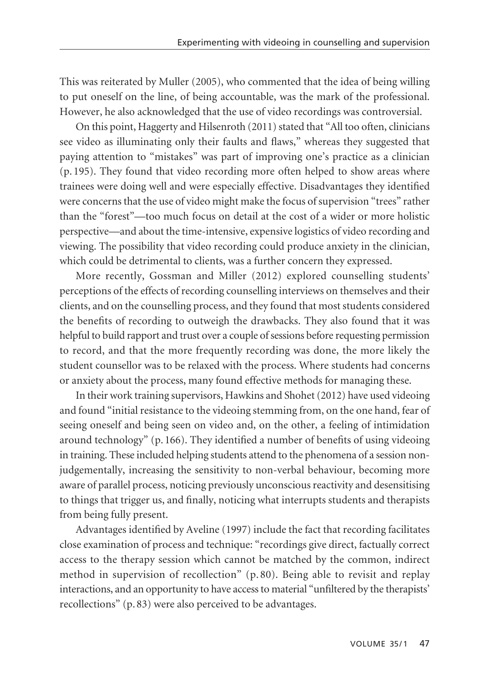This was reiterated by Muller (2005), who commented that the idea of being willing to put oneself on the line, of being accountable, was the mark of the professional. However, he also acknowledged that the use of video recordings was controversial.

On this point, Haggerty and Hilsenroth (2011) stated that "All too often, clinicians see video as illuminating only their faults and flaws," whereas they suggested that paying attention to "mistakes" was part of improving one's practice as a clinician (p. 195). They found that video recording more often helped to show areas where trainees were doing well and were especially effective. Disadvantages they identified were concerns that the use of video might make the focus of supervision "trees" rather than the "forest"—too much focus on detail at the cost of a wider or more holistic perspective—and about the time-intensive, expensive logistics of video recording and viewing. The possibility that video recording could produce anxiety in the clinician, which could be detrimental to clients, was a further concern they expressed.

More recently, Gossman and Miller (2012) explored counselling students' perceptions of the effects of recording counselling interviews on themselves and their clients, and on the counselling process, and they found that most students considered the benefits of recording to outweigh the drawbacks. They also found that it was helpful to build rapport and trust over a couple of sessions before requesting permission to record, and that the more frequently recording was done, the more likely the student counsellor was to be relaxed with the process. Where students had concerns or anxiety about the process, many found effective methods for managing these.

In their work training supervisors, Hawkins and Shohet (2012) have used videoing and found "initial resistance to the videoing stemming from, on the one hand, fear of seeing oneself and being seen on video and, on the other, a feeling of intimidation around technology"  $(p. 166)$ . They identified a number of benefits of using videoing in training. These included helping students attend to the phenomena of a session nonjudgementally, increasing the sensitivity to non-verbal behaviour, becoming more aware of parallel process, noticing previously unconscious reactivity and desensitising to things that trigger us, and finally, noticing what interrupts students and therapists from being fully present.

Advantages identified by Aveline (1997) include the fact that recording facilitates close examination of process and technique: "recordings give direct, factually correct access to the therapy session which cannot be matched by the common, indirect method in supervision of recollection" (p. 80). Being able to revisit and replay interactions, and an opportunity to have access to material "unfiltered by the therapists' recollections" (p. 83) were also perceived to be advantages.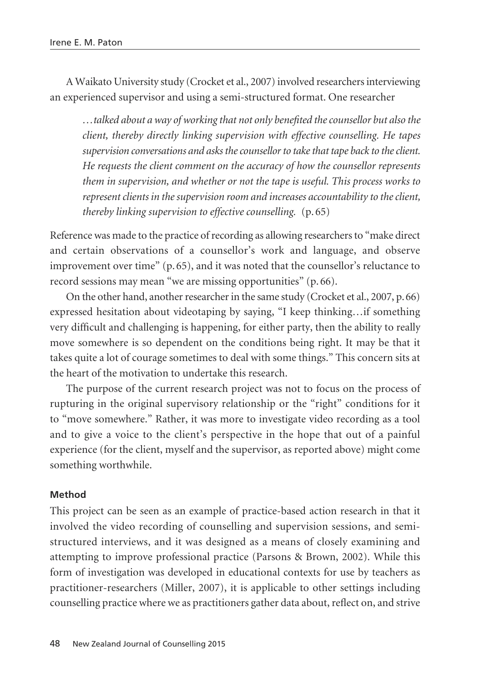A Waikato University study (Crocket et al., 2007) involved researchers interviewing an experienced supervisor and using a semi-structured format. One researcher

*…talked about a way of working that not only benefited the counsellor but also the client, thereby directly linking supervision with effective counselling. He tapes supervision conversations and asks the counsellor to take that tape back to the client. He requests the client comment on the accuracy of how the counsellor represents them in supervision, and whether or not the tape is useful. This process works to represent clients in the supervision room and increases accountability to the client, thereby linking supervision to effective counselling.* (p.65)

Reference was made to the practice of recording as allowing researchers to "make direct and certain observations of a counsellor's work and language, and observe improvement over time" (p. 65), and it was noted that the counsellor's reluctance to record sessions may mean "we are missing opportunities" (p. 66).

On the other hand, another researcher in the same study (Crocket et al., 2007, p.66) expressed hesitation about videotaping by saying, "I keep thinking…if something very difficult and challenging is happening, for either party, then the ability to really move somewhere is so dependent on the conditions being right. It may be that it takes quite a lot of courage sometimes to deal with some things." This concern sits at the heart of the motivation to undertake this research.

The purpose of the current research project was not to focus on the process of rupturing in the original supervisory relationship or the "right" conditions for it to "move somewhere." Rather, it was more to investigate video recording as a tool and to give a voice to the client's perspective in the hope that out of a painful experience (for the client, myself and the supervisor, as reported above) might come something worthwhile.

## **Method**

This project can be seen as an example of practice-based action research in that it involved the video recording of counselling and supervision sessions, and semistructured interviews, and it was designed as a means of closely examining and attempting to improve professional practice (Parsons & Brown, 2002). While this form of investigation was developed in educational contexts for use by teachers as practitioner-researchers (Miller, 2007), it is applicable to other settings including counselling practice where we as practitioners gather data about, reflect on, and strive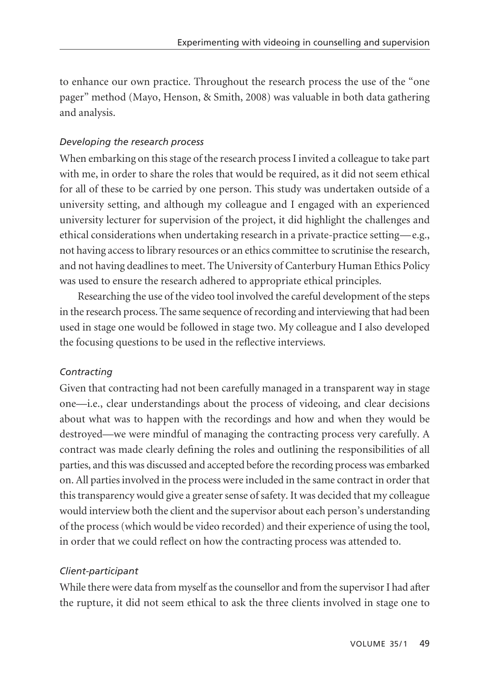to enhance our own practice. Throughout the research process the use of the "one pager" method (Mayo, Henson, & Smith, 2008) was valuable in both data gathering and analysis.

# *Developing the research process*

When embarking on this stage of the research process I invited a colleague to take part with me, in order to share the roles that would be required, as it did not seem ethical for all of these to be carried by one person. This study was undertaken outside of a university setting, and although my colleague and I engaged with an experienced university lecturer for supervision of the project, it did highlight the challenges and ethical considerations when undertaking research in a private-practice setting—e.g., not having access to library resources or an ethics committee to scrutinise the research, and not having deadlines to meet. The University of Canterbury Human Ethics Policy was used to ensure the research adhered to appropriate ethical principles.

Researching the use of the video tool involved the careful development of the steps in the research process. The same sequence of recording and interviewing that had been used in stage one would be followed in stage two. My colleague and I also developed the focusing questions to be used in the reflective interviews.

# *Contracting*

Given that contracting had not been carefully managed in a transparent way in stage one—i.e., clear understandings about the process of videoing, and clear decisions about what was to happen with the recordings and how and when they would be destroyed—we were mindful of managing the contracting process very carefully. A contract was made clearly defining the roles and outlining the responsibilities of all parties, and this was discussed and accepted before the recording process was embarked on. All parties involved in the process were included in the same contract in order that this transparency would give a greater sense of safety. It was decided that my colleague would interview both the client and the supervisor about each person's understanding of the process (which would be video recorded) and their experience of using the tool, in order that we could reflect on how the contracting process was attended to.

## *Client-participant*

While there were data from myself as the counsellor and from the supervisor I had after the rupture, it did not seem ethical to ask the three clients involved in stage one to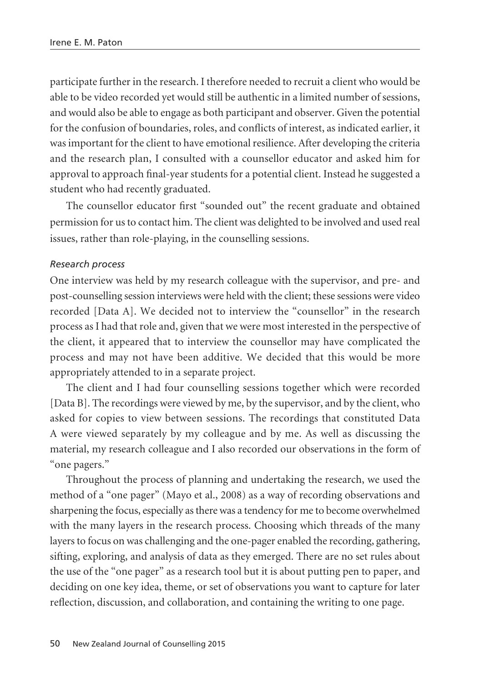participate further in the research. I therefore needed to recruit a client who would be able to be video recorded yet would still be authentic in a limited number of sessions, and would also be able to engage as both participant and observer. Given the potential for the confusion of boundaries, roles, and conflicts of interest, as indicated earlier, it was important for the client to have emotional resilience. After developing the criteria and the research plan, I consulted with a counsellor educator and asked him for approval to approach final-year students for a potential client. Instead he suggested a student who had recently graduated.

The counsellor educator first "sounded out" the recent graduate and obtained permission for us to contact him. The client was delighted to be involved and used real issues, rather than role-playing, in the counselling sessions.

#### *Research process*

One interview was held by my research colleague with the supervisor, and pre- and post-counselling session interviews were held with the client; these sessions were video recorded [Data A]. We decided not to interview the "counsellor" in the research process as I had that role and, given that we were most interested in the perspective of the client, it appeared that to interview the counsellor may have complicated the process and may not have been additive. We decided that this would be more appropriately attended to in a separate project.

The client and I had four counselling sessions together which were recorded [Data B]. The recordings were viewed by me, by the supervisor, and by the client, who asked for copies to view between sessions. The recordings that constituted Data A were viewed separately by my colleague and by me. As well as discussing the material, my research colleague and I also recorded our observations in the form of "one pagers."

Throughout the process of planning and undertaking the research, we used the method of a "one pager" (Mayo et al., 2008) as a way of recording observations and sharpening the focus, especially as there was a tendency for me to become overwhelmed with the many layers in the research process. Choosing which threads of the many layers to focus on was challenging and the one-pager enabled the recording, gathering, sifting, exploring, and analysis of data as they emerged. There are no set rules about the use of the "one pager" as a research tool but it is about putting pen to paper, and deciding on one key idea, theme, or set of observations you want to capture for later reflection, discussion, and collaboration, and containing the writing to one page.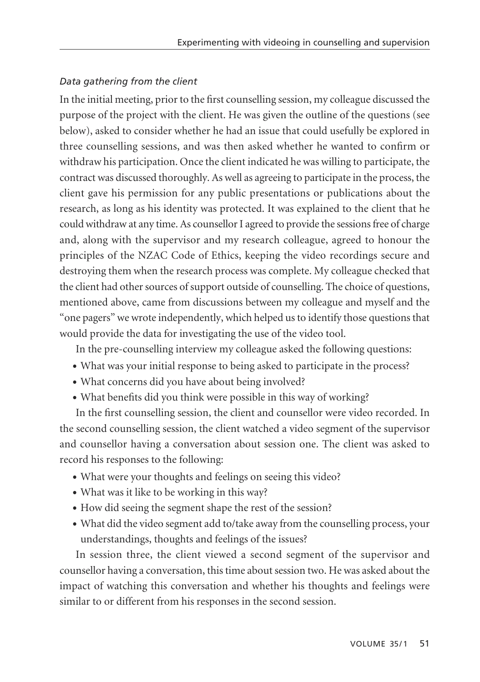# *Data gathering from the client*

In the initial meeting, prior to the first counselling session, my colleague discussed the purpose of the project with the client. He was given the outline of the questions (see below), asked to consider whether he had an issue that could usefully be explored in three counselling sessions, and was then asked whether he wanted to confirm or withdraw his participation. Once the client indicated he was willing to participate, the contract was discussed thoroughly. As well as agreeing to participate in the process, the client gave his permission for any public presentations or publications about the research, as long as his identity was protected. It was explained to the client that he could withdraw at any time. As counsellor I agreed to provide the sessions free of charge and, along with the supervisor and my research colleague, agreed to honour the principles of the NZAC Code of Ethics, keeping the video recordings secure and destroying them when the research process was complete. My colleague checked that the client had other sources of support outside of counselling. The choice of questions, mentioned above, came from discussions between my colleague and myself and the "one pagers" we wrote independently, which helped us to identify those questions that would provide the data for investigating the use of the video tool.

In the pre-counselling interview my colleague asked the following questions:

- What was your initial response to being asked to participate in the process?
- What concerns did you have about being involved?
- What benefits did you think were possible in this way of working?

In the first counselling session, the client and counsellor were video recorded. In the second counselling session, the client watched a video segment of the supervisor and counsellor having a conversation about session one. The client was asked to record his responses to the following:

- What were your thoughts and feelings on seeing this video?
- What was it like to be working in this way?
- How did seeing the segment shape the rest of the session?
- What did the video segment add to/take away from the counselling process, your understandings, thoughts and feelings of the issues?

In session three, the client viewed a second segment of the supervisor and counsellor having a conversation, this time about session two. He was asked about the impact of watching this conversation and whether his thoughts and feelings were similar to or different from his responses in the second session.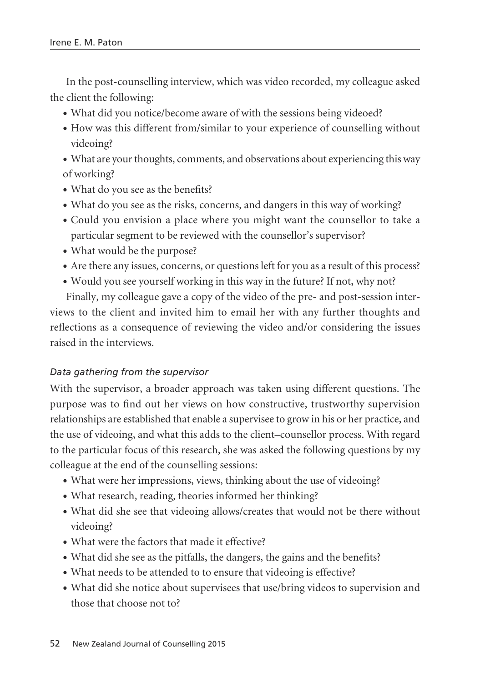In the post-counselling interview, which was video recorded, my colleague asked the client the following:

- What did you notice/become aware of with the sessions being videoed?
- How was this different from/similar to your experience of counselling without videoing?
- What are your thoughts, comments, and observations about experiencing this way of working?
- What do you see as the benefits?
- What do you see as the risks, concerns, and dangers in this way of working?
- Could you envision a place where you might want the counsellor to take a particular segment to be reviewed with the counsellor's supervisor?
- What would be the purpose?
- Are there any issues, concerns, or questions left for you as a result of this process?
- Would you see yourself working in this way in the future? If not, why not?

Finally, my colleague gave a copy of the video of the pre- and post-session inter views to the client and invited him to email her with any further thoughts and reflections as a consequence of reviewing the video and/or considering the issues raised in the interviews.

## *Data gathering from the supervisor*

With the supervisor, a broader approach was taken using different questions. The purpose was to find out her views on how constructive, trustworthy supervision relationships are established that enable a supervisee to grow in his or her practice, and the use of videoing, and what this adds to the client–counsellor process. With regard to the particular focus of this research, she was asked the following questions by my colleague at the end of the counselling sessions:

- What were her impressions, views, thinking about the use of videoing?
- What research, reading, theories informed her thinking?
- What did she see that videoing allows/creates that would not be there without videoing?
- What were the factors that made it effective?
- What did she see as the pitfalls, the dangers, the gains and the benefits?
- What needs to be attended to to ensure that videoing is effective?
- What did she notice about supervisees that use/bring videos to supervision and those that choose not to?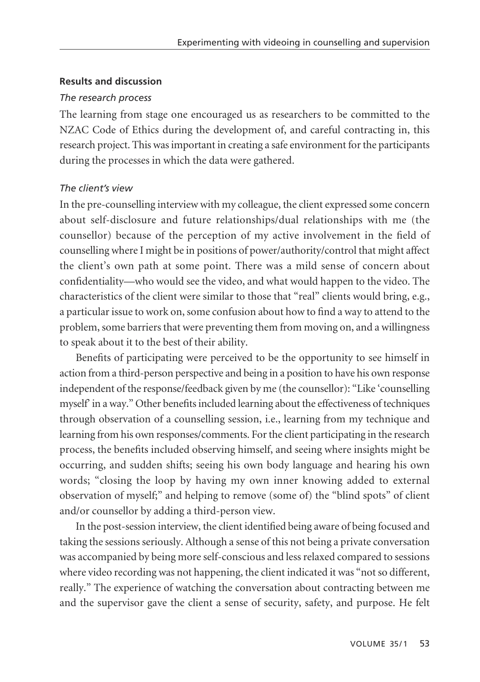#### **Results and discussion**

#### *The research process*

The learning from stage one encouraged us as researchers to be committed to the NZAC Code of Ethics during the development of, and careful contracting in, this research project. This was important in creating a safe environment for the participants during the processes in which the data were gathered.

## *The client's view*

In the pre-counselling interview with my colleague, the client expressed some concern about self-disclosure and future relationships/dual relationships with me (the counsellor) because of the perception of my active involvement in the field of counselling where I might be in positions of power/authority/control that might affect the client's own path at some point. There was a mild sense of concern about confidentiality—who would see the video, and what would happen to the video. The characteristics of the client were similar to those that "real" clients would bring, e.g., a particular issue to work on, some confusion about how to find a way to attend to the problem, some barriers that were preventing them from moving on, and a willingness to speak about it to the best of their ability.

Benefits of participating were perceived to be the opportunity to see himself in action from a third-person perspective and being in a position to have his own response independent of the response/feedback given by me (the counsellor): "Like 'counselling myself' in a way." Other benefits included learning about the effectiveness of techniques through observation of a counselling session, i.e., learning from my technique and learning from his own responses/comments. For the client participating in the research process, the benefits included observing himself, and seeing where insights might be occurring, and sudden shifts; seeing his own body language and hearing his own words; "closing the loop by having my own inner knowing added to external observation of myself;" and helping to remove (some of) the "blind spots" of client and/or counsellor by adding a third-person view.

In the post-session interview, the client identified being aware of being focused and taking the sessions seriously. Although a sense of this not being a private conversation was accompanied by being more self-conscious and less relaxed compared to sessions where video recording was not happening, the client indicated it was "not so different, really." The experience of watching the conversation about contracting between me and the supervisor gave the client a sense of security, safety, and purpose. He felt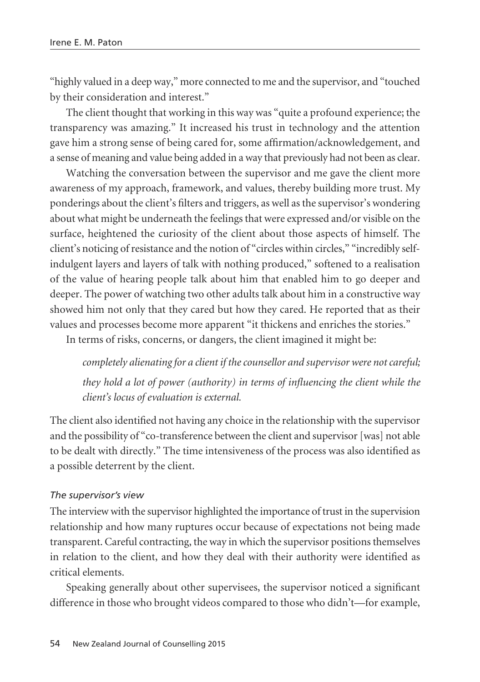"highly valued in a deep way," more connected to me and the supervisor, and "touched by their consideration and interest."

The client thought that working in this way was "quite a profound experience; the transparency was amazing." It increased his trust in technology and the attention gave him a strong sense of being cared for, some affirmation/acknowledgement, and a sense of meaning and value being added in a way that previously had not been as clear.

Watching the conversation between the supervisor and me gave the client more awareness of my approach, framework, and values, thereby building more trust. My ponderings about the client's filters and triggers, as well as the supervisor's wondering about what might be underneath the feelings that were expressed and/or visible on the surface, heightened the curiosity of the client about those aspects of himself. The client's noticing of resistance and the notion of "circles within circles," "incredibly selfindulgent layers and layers of talk with nothing produced," softened to a realisation of the value of hearing people talk about him that enabled him to go deeper and deeper. The power of watching two other adults talk about him in a constructive way showed him not only that they cared but how they cared. He reported that as their values and processes become more apparent "it thickens and enriches the stories."

In terms of risks, concerns, or dangers, the client imagined it might be:

*completely alienating for a client if the counsellor and supervisor were not careful; they hold a lot of power (authority) in terms of influencing the client while the client's locus of evaluation is external.* 

The client also identified not having any choice in the relationship with the supervisor and the possibility of "co-transference between the client and supervisor [was] not able to be dealt with directly." The time intensiveness of the process was also identified as a possible deterrent by the client.

#### *The supervisor's view*

The interview with the supervisor highlighted the importance of trust in the supervision relationship and how many ruptures occur because of expectations not being made transparent. Careful contracting, the way in which the supervisor positions themselves in relation to the client, and how they deal with their authority were identified as critical elements.

Speaking generally about other supervisees, the supervisor noticed a significant difference in those who brought videos compared to those who didn't—for example,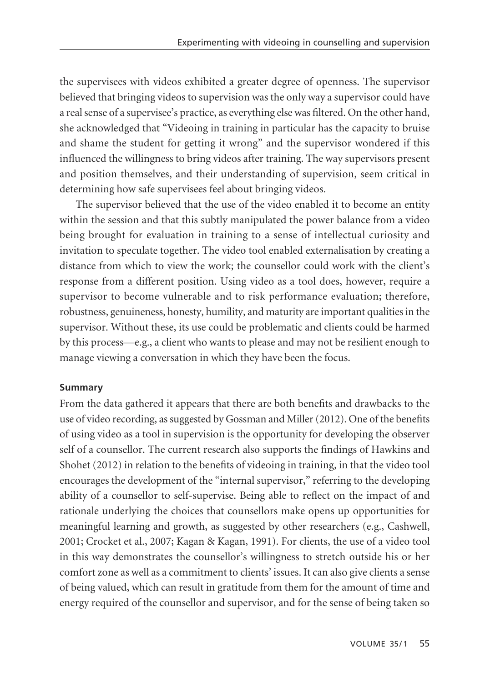the supervisees with videos exhibited a greater degree of openness. The supervisor believed that bringing videos to supervision was the only way a supervisor could have a real sense of a supervisee's practice, as everything else was filtered. On the other hand, she acknowledged that "Videoing in training in particular has the capacity to bruise and shame the student for getting it wrong" and the supervisor wondered if this influenced the willingness to bring videos after training. The way supervisors present and position themselves, and their understanding of supervision, seem critical in determining how safe supervisees feel about bringing videos.

The supervisor believed that the use of the video enabled it to become an entity within the session and that this subtly manipulated the power balance from a video being brought for evaluation in training to a sense of intellectual curiosity and invitation to speculate together. The video tool enabled externalisation by creating a distance from which to view the work; the counsellor could work with the client's response from a different position. Using video as a tool does, however, require a supervisor to become vulnerable and to risk performance evaluation; therefore, robustness, genuineness, honesty, humility, and maturity are important qualities in the supervisor. Without these, its use could be problematic and clients could be harmed by this process—e.g., a client who wants to please and may not be resilient enough to manage viewing a conversation in which they have been the focus.

## **Summary**

From the data gathered it appears that there are both benefits and drawbacks to the use of video recording, as suggested by Gossman and Miller (2012). One of the benefits of using video as a tool in supervision is the opportunity for developing the observer self of a counsellor. The current research also supports the findings of Hawkins and Shohet (2012) in relation to the benefits of videoing in training, in that the video tool encourages the development of the "internal supervisor," referring to the developing ability of a counsellor to self-supervise. Being able to reflect on the impact of and rationale underlying the choices that counsellors make opens up opportunities for meaningful learning and growth, as suggested by other researchers (e.g., Cashwell, 2001; Crocket et al., 2007; Kagan & Kagan, 1991). For clients, the use of a video tool in this way demonstrates the counsellor's willingness to stretch outside his or her comfort zone as well as a commitment to clients' issues. It can also give clients a sense of being valued, which can result in gratitude from them for the amount of time and energy required of the counsellor and supervisor, and for the sense of being taken so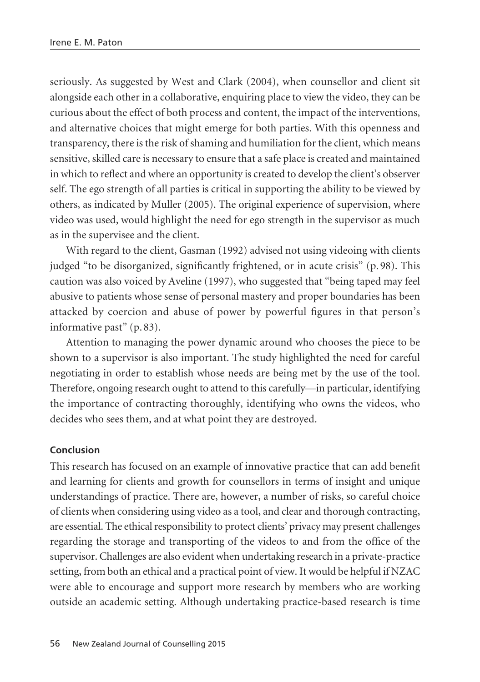seriously. As suggested by West and Clark (2004), when counsellor and client sit alongside each other in a collaborative, enquiring place to view the video, they can be curious about the effect of both process and content, the impact of the interventions, and alternative choices that might emerge for both parties. With this openness and transparency, there is the risk of shaming and humiliation for the client, which means sensitive, skilled care is necessary to ensure that a safe place is created and maintained in which to reflect and where an opportunity is created to develop the client's observer self. The ego strength of all parties is critical in supporting the ability to be viewed by others, as indicated by Muller (2005). The original experience of supervision, where video was used, would highlight the need for ego strength in the supervisor as much as in the supervisee and the client.

With regard to the client, Gasman (1992) advised not using videoing with clients judged "to be disorganized, significantly frightened, or in acute crisis" (p. 98). This caution was also voiced by Aveline (1997), who suggested that "being taped may feel abusive to patients whose sense of personal mastery and proper boundaries has been attacked by coercion and abuse of power by powerful figures in that person's informative past" (p. 83).

Attention to managing the power dynamic around who chooses the piece to be shown to a supervisor is also important. The study highlighted the need for careful negotiating in order to establish whose needs are being met by the use of the tool. Therefore, ongoing research ought to attend to this carefully—in particular, identifying the importance of contracting thoroughly, identifying who owns the videos, who decides who sees them, and at what point they are destroyed.

#### **Conclusion**

This research has focused on an example of innovative practice that can add benefit and learning for clients and growth for counsellors in terms of insight and unique understandings of practice. There are, however, a number of risks, so careful choice of clients when considering using video as a tool, and clear and thorough contracting, are essential. The ethical responsibility to protect clients' privacy may present challenges regarding the storage and transporting of the videos to and from the office of the supervisor. Challenges are also evident when undertaking research in a private-practice setting, from both an ethical and a practical point of view. It would be helpful if NZAC were able to encourage and support more research by members who are working outside an academic setting. Although undertaking practice-based research is time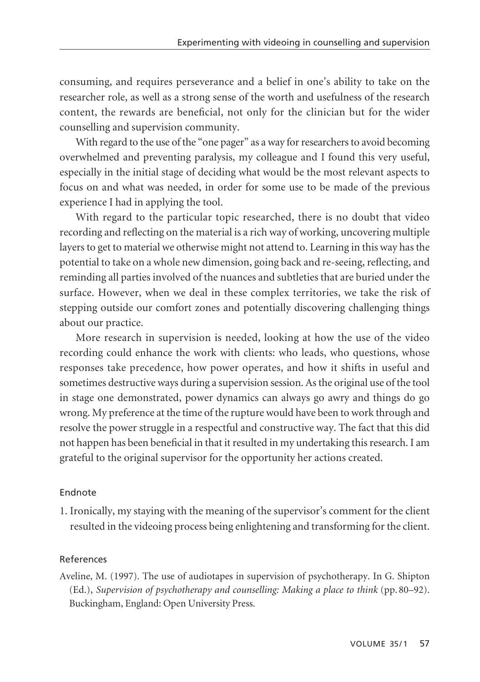consuming, and requires perseverance and a belief in one's ability to take on the researcher role, as well as a strong sense of the worth and usefulness of the research content, the rewards are beneficial, not only for the clinician but for the wider counselling and supervision community.

With regard to the use of the "one pager" as a way for researchers to avoid becoming overwhelmed and preventing paralysis, my colleague and I found this very useful, especially in the initial stage of deciding what would be the most relevant aspects to focus on and what was needed, in order for some use to be made of the previous experience I had in applying the tool.

With regard to the particular topic researched, there is no doubt that video recording and reflecting on the material is a rich way of working, uncovering multiple layers to get to material we otherwise might not attend to. Learning in this way has the potential to take on a whole new dimension, going back and re-seeing, reflecting, and reminding all parties involved of the nuances and subtleties that are buried under the surface. However, when we deal in these complex territories, we take the risk of stepping outside our comfort zones and potentially discovering challenging things about our practice.

More research in supervision is needed, looking at how the use of the video recording could enhance the work with clients: who leads, who questions, whose responses take precedence, how power operates, and how it shifts in useful and sometimes destructive ways during a supervision session. As the original use of the tool in stage one demonstrated, power dynamics can always go awry and things do go wrong. My preference at the time of the rupture would have been to work through and resolve the power struggle in a respectful and constructive way. The fact that this did not happen has been beneficial in that it resulted in my undertaking this research. I am grateful to the original supervisor for the opportunity her actions created.

# Endnote

1. Ironically, my staying with the meaning of the supervisor's comment for the client resulted in the videoing process being enlightening and transforming for the client.

## References

Aveline, M. (1997). The use of audiotapes in supervision of psychotherapy. In G. Shipton (Ed.), *Supervision of psychotherapy and counselling: Making a place to think* (pp. 80–92). Buckingham, England: Open University Press.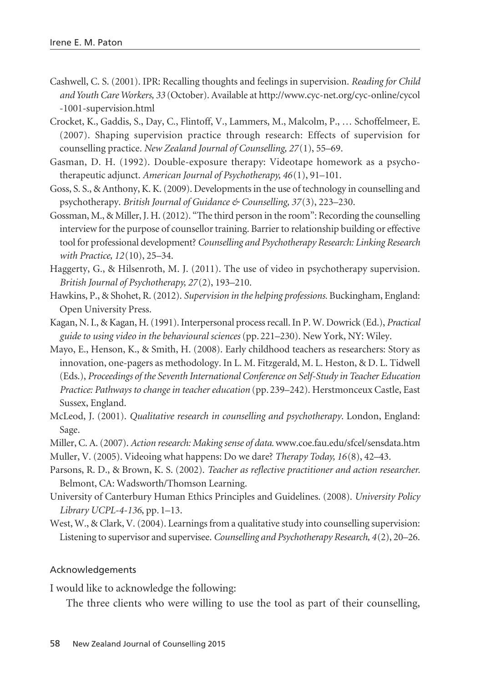- Cashwell, C. S. (2001). IPR: Recalling thoughts and feelings in supervision. *Reading for Child and Youth Care Workers, 33* (October). Available at http://www.cyc-net.org/cyc-online/cycol -1001-supervision.html
- Crocket, K., Gaddis, S., Day, C., Flintoff, V., Lammers, M., Malcolm, P., … Schoffelmeer, E. (2007). Shaping supervision practice through research: Effects of supervision for counselling practice. *New Zealand Journal of Counselling, 27*(1), 55–69.
- Gasman, D. H. (1992). Double-exposure therapy: Videotape homework as a psychotherapeutic adjunct. *American Journal of Psychotherapy, 46*(1), 91–101.
- Goss, S. S., & Anthony, K. K. (2009). Developments in the use of technology in counselling and psychotherapy. *British Journal of Guidance & Counselling, 37*(3), 223–230.
- Gossman, M., & Miller, J. H. (2012). "The third person in the room": Recording the counselling interview for the purpose of counsellor training. Barrier to relationship building or effective tool for professional development? *Counselling and Psychotherapy Research: Linking Research with Practice, 12*(10), 25–34.
- Haggerty, G., & Hilsenroth, M. J. (2011). The use of video in psychotherapy supervision. *British Journal of Psychotherapy, 27*(2), 193–210.
- Hawkins, P., & Shohet, R. (2012). *Supervision in the helping professions.* Buckingham, England: Open University Press.
- Kagan, N. I., & Kagan, H. (1991). Interpersonal process recall. In P. W. Dowrick (Ed.), *Practical guide to using video in the behavioural sciences* (pp. 221–230). New York, NY: Wiley.
- Mayo, E., Henson, K., & Smith, H. (2008). Early childhood teachers as researchers: Story as innovation, one-pagers as methodology. In L. M. Fitzgerald, M. L. Heston, & D. L. Tidwell (Eds.), *Proceedings of the Seventh International Conference on Self-Study in Teacher Education Practice: Pathways to change in teacher education* (pp. 239–242). Herstmonceux Castle, East Sussex, England.
- McLeod, J. (2001). *Qualitative research in counselling and psychotherapy*. London, England: Sage.
- Miller, C. A. (2007). *Action research: Making sense of data.* www.coe.fau.edu/sfcel/sensdata.htm
- Muller, V. (2005). Videoing what happens: Do we dare? *Therapy Today, 16*(8), 42–43.
- Parsons, R. D., & Brown, K. S. (2002). *Teacher as reflective practitioner and action researcher.* Belmont, CA: Wadsworth/Thomson Learning.
- University of Canterbury Human Ethics Principles and Guidelines. (2008). *University Policy Library UCPL-4-136*, pp. 1–13.
- West, W., & Clark, V. (2004). Learnings from a qualitative study into counselling supervision: Listening to supervisor and supervisee. *Counselling and Psychotherapy Research, 4*(2), 20–26.

#### Acknowledgements

I would like to acknowledge the following:

The three clients who were willing to use the tool as part of their counselling,